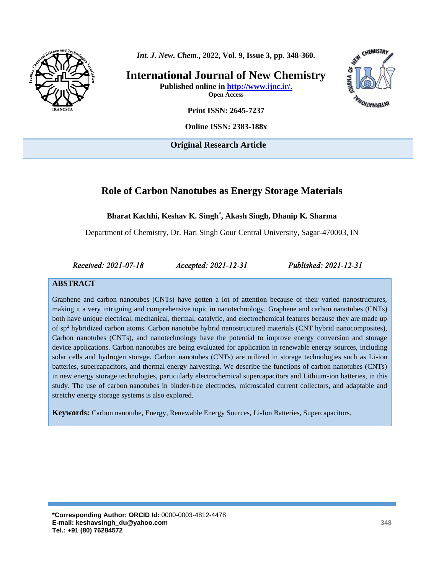

*Int. J. New. Chem.***, 2022, Vol. 9, Issue 3, pp. 348-360.** 

**International Journal of New Chemistry Published online in [http://www.ijnc.ir/.](http://www.ijnc.ir/) Open Access**



**Print ISSN: 2645-7237**

**Online ISSN: 2383-188x**

**Original Research Article** 

# **Role of [Carbon Nanotubes](https://pubs.acs.org/doi/abs/10.1021/acsami.5b07630) as Energy Storage Materials**

**Bharat Kachhi, Keshav K. Singh\* , Akash Singh, Dhanip K. Sharma**

Department of Chemistry, Dr. Hari Singh Gour Central University, Sagar-470003, IN

*Received: 2021-07-18 Accepted: 2021-12-31 Published: 2021-12-31* 

#### **ABSTRACT**

Graphene and carbon nanotubes (CNTs) have gotten a lot of attention because of their varied nanostructures, making it a very intriguing and comprehensive topic in nanotechnology. Graphene and carbon nanotubes (CNTs) both have unique electrical, mechanical, thermal, catalytic, and electrochemical features because they are made up of sp<sup>2</sup> hybridized carbon atoms. Carbon nanotube hybrid nanostructured materials (CNT hybrid nanocomposites), Carbon nanotubes (CNTs), and nanotechnology have the potential to improve energy conversion and storage device applications. Carbon nanotubes are being evaluated for application in renewable energy sources, including solar cells and hydrogen storage. Carbon nanotubes (CNTs) are utilized in storage technologies such as Li-ion batteries, supercapacitors, and thermal energy harvesting. We describe the functions of carbon nanotubes (CNTs) in new energy storage technologies, particularly electrochemical supercapacitors and Lithium-ion batteries, in this study. The use of carbon nanotubes in binder-free electrodes, microscaled current collectors, and adaptable and stretchy energy storage systems is also explored.

**Keywords:** Carbon nanotube, Energy, Renewable Energy Sources, Li-Ion Batteries, Supercapacitors.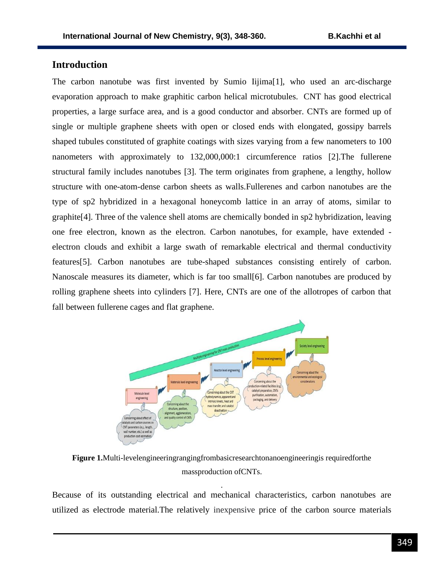### **Introduction**

The carbon nanotube was first invented by Sumio Iijima[1], who used an arc-discharge evaporation approach to make graphitic carbon helical microtubules. CNT has good electrical properties, a large surface area, and is a good conductor and absorber. CNTs are formed up of single or multiple graphene sheets with open or closed ends with elongated, gossipy barrels shaped tubules constituted of graphite coatings with sizes varying from a few nanometers to 100 nanometers with approximately to 132,000,000:1 circumference ratios [2].The fullerene structural family includes nanotubes [3]. The term originates from graphene, a lengthy, hollow structure with one-atom-dense carbon sheets as walls.Fullerenes and carbon nanotubes are the type of sp2 hybridized in a hexagonal honeycomb lattice in an array of atoms, similar to graphite[4]. Three of the valence shell atoms are chemically bonded in sp2 hybridization, leaving one free electron, known as the electron. Carbon nanotubes, for example, have extended electron clouds and exhibit a large swath of remarkable electrical and thermal conductivity features[5]. Carbon nanotubes are tube-shaped substances consisting entirely of carbon. Nanoscale measures its diameter, which is far too small[6]. Carbon nanotubes are produced by rolling graphene sheets into cylinders [7]. Here, CNTs are one of the allotropes of carbon that fall between fullerene cages and flat graphene.



**Figure 1.**Multi-levelengineeringrangingfrombasicresearchtonanoengineeringis requiredforthe massproduction ofCNTs.

Because of its outstanding electrical and mechanical characteristics, carbon nanotubes are utilized as electrode material.The relatively inexpensive price of the carbon source materials

.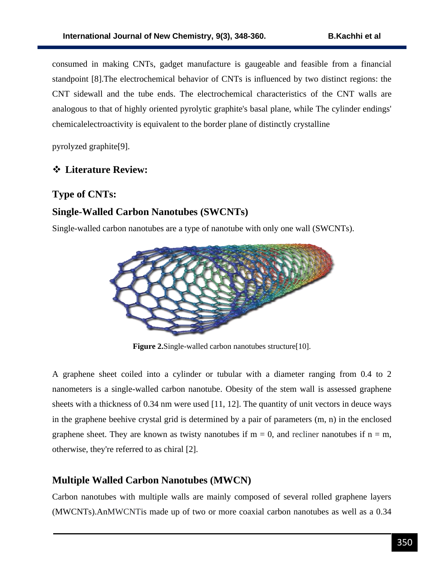consumed in making CNTs, gadget manufacture is gaugeable and feasible from a financial standpoint [8].The electrochemical behavior of CNTs is influenced by two distinct regions: the CNT sidewall and the tube ends. The electrochemical characteristics of the CNT walls are analogous to that of highly oriented pyrolytic graphite's basal plane, while The cylinder endings' chemicalelectroactivity is equivalent to the border plane of distinctly crystalline

pyrolyzed graphite[9].

# ❖ **Literature Review:**

## **Type of CNTs:**

# **Single-Walled Carbon Nanotubes (SWCNTs)**

Single-walled carbon nanotubes are a type of nanotube with only one wall (SWCNTs).



**Figure 2.** Single-walled carbon nanotubes structure [10].

A graphene sheet coiled into a cylinder or tubular with a diameter ranging from 0.4 to 2 nanometers is a single-walled carbon nanotube. Obesity of the stem wall is assessed graphene sheets with a thickness of  $0.34$  nm were used [11, 12]. The quantity of unit vectors in deuce ways in the graphene beehive crystal grid is determined by a pair of parameters (m, n) in the enclosed graphene sheet. They are known as twisty nanotubes if  $m = 0$ , and recliner nanotubes if  $n = m$ , otherwise, they're referred to as chiral [2].

## **Multiple Walled Carbon Nanotubes (MWCN)**

Carbon nanotubes with multiple walls are mainly composed of several rolled graphene layers (MWCNTs).AnMWCNTis made up of two or more coaxial carbon nanotubes as well as a 0.34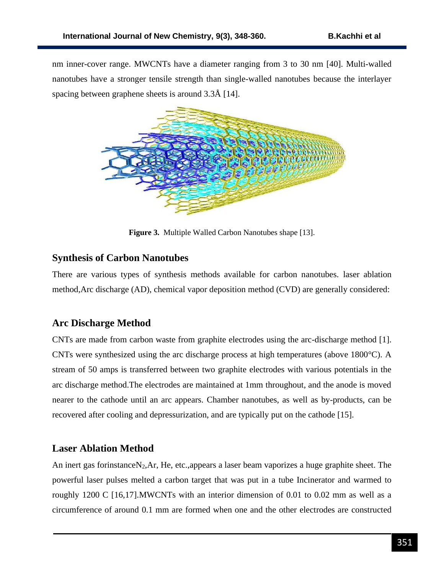nm inner-cover range. MWCNTs have a diameter ranging from 3 to 30 nm [40]. Multi-walled nanotubes have a stronger tensile strength than single-walled nanotubes because the interlayer spacing between graphene sheets is around 3.3Å [14].



**Figure 3.** Multiple Walled Carbon Nanotubes shape [13].

## **Synthesis of Carbon Nanotubes**

There are various types of synthesis methods available for carbon nanotubes. laser ablation method,Arc discharge (AD), chemical vapor deposition method (CVD) are generally considered:

# **Arc Discharge Method**

CNTs are made from carbon waste from graphite electrodes using the arc-discharge method [1]. CNTs were synthesized using the arc discharge process at high temperatures (above 1800°C). A stream of 50 amps is transferred between two graphite electrodes with various potentials in the arc discharge method.The electrodes are maintained at 1mm throughout, and the anode is moved nearer to the cathode until an arc appears. Chamber nanotubes, as well as by-products, can be recovered after cooling and depressurization, and are typically put on the cathode [15].

## **Laser Ablation Method**

An inert gas forinstance N<sub>2</sub>, Ar, He, etc.,appears a laser beam vaporizes a huge graphite sheet. The powerful laser pulses melted a carbon target that was put in a tube Incinerator and warmed to roughly 1200 C [16,17].MWCNTs with an interior dimension of 0.01 to 0.02 mm as well as a circumference of around 0.1 mm are formed when one and the other electrodes are constructed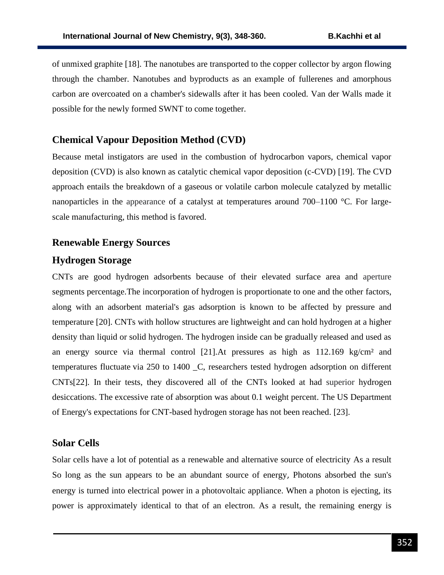of unmixed graphite [18]. The nanotubes are transported to the copper collector by argon flowing through the chamber. Nanotubes and byproducts as an example of fullerenes and amorphous carbon are overcoated on a chamber's sidewalls after it has been cooled. Van der Walls made it possible for the newly formed SWNT to come together.

### **Chemical Vapour Deposition Method (CVD)**

Because metal instigators are used in the combustion of hydrocarbon vapors, chemical vapor deposition (CVD) is also known as catalytic chemical vapor deposition (c-CVD) [19]. The CVD approach entails the breakdown of a gaseous or volatile carbon molecule catalyzed by metallic nanoparticles in the appearance of a catalyst at temperatures around 700–1100 °C. For largescale manufacturing, this method is favored.

#### **Renewable Energy Sources**

#### **Hydrogen Storage**

CNTs are good hydrogen adsorbents because of their elevated surface area and aperture segments percentage.The incorporation of hydrogen is proportionate to one and the other factors, along with an adsorbent material's gas adsorption is known to be affected by pressure and temperature [20]. CNTs with hollow structures are lightweight and can hold hydrogen at a higher density than liquid or solid hydrogen. The hydrogen inside can be gradually released and used as an energy source via thermal control [21].At pressures as high as 112.169 kg/cm² and temperatures fluctuate via 250 to 1400 \_C, researchers tested hydrogen adsorption on different CNTs[22]. In their tests, they discovered all of the CNTs looked at had superior hydrogen desiccations. The excessive rate of absorption was about 0.1 weight percent. The US Department of Energy's expectations for CNT-based hydrogen storage has not been reached. [23].

#### **Solar Cells**

Solar cells have a lot of potential as a renewable and alternative source of electricity As a result So long as the sun appears to be an abundant source of energy, Photons absorbed the sun's energy is turned into electrical power in a photovoltaic appliance. When a photon is ejecting, its power is approximately identical to that of an electron. As a result, the remaining energy is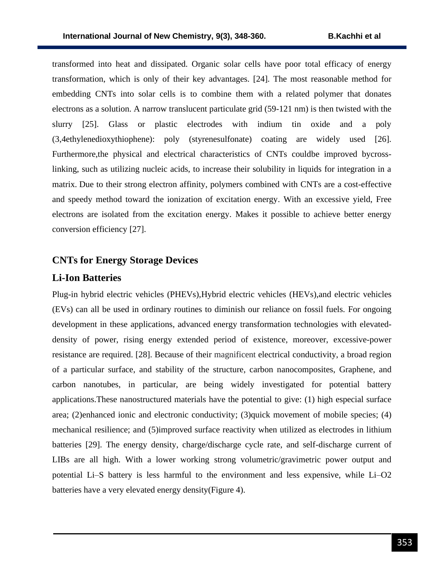transformed into heat and dissipated. Organic solar cells have poor total efficacy of energy transformation, which is only of their key advantages. [24]. The most reasonable method for embedding CNTs into solar cells is to combine them with a related polymer that donates electrons as a solution. A narrow translucent particulate grid (59-121 nm) is then twisted with the slurry [25]. Glass or plastic electrodes with indium tin oxide and a poly (3,4ethylenedioxythiophene): poly (styrenesulfonate) coating are widely used [26]. Furthermore,the physical and electrical characteristics of CNTs couldbe improved bycrosslinking, such as utilizing nucleic acids, to increase their solubility in liquids for integration in a matrix. Due to their strong electron affinity, polymers combined with CNTs are a cost-effective and speedy method toward the ionization of excitation energy. With an excessive yield, Free electrons are isolated from the excitation energy. Makes it possible to achieve better energy conversion efficiency [27].

### **CNTs for Energy Storage Devices**

#### **Li-Ion Batteries**

Plug-in hybrid electric vehicles (PHEVs),Hybrid electric vehicles (HEVs),and electric vehicles (EVs) can all be used in ordinary routines to diminish our reliance on fossil fuels. For ongoing development in these applications, advanced energy transformation technologies with elevateddensity of power, rising energy extended period of existence, moreover, excessive-power resistance are required. [28]. Because of their magnificent electrical conductivity, a broad region of a particular surface, and stability of the structure, carbon nanocomposites, Graphene, and carbon nanotubes, in particular, are being widely investigated for potential battery applications.These nanostructured materials have the potential to give: (1) high especial surface area; (2)enhanced ionic and electronic conductivity; (3)quick movement of mobile species; (4) mechanical resilience; and (5)improved surface reactivity when utilized as electrodes in lithium batteries [29]. The energy density, charge/discharge cycle rate, and self-discharge current of LIBs are all high. With a lower working strong volumetric/gravimetric power output and potential Li–S battery is less harmful to the environment and less expensive, while Li–O2 batteries have a very elevated energy density(Figure 4).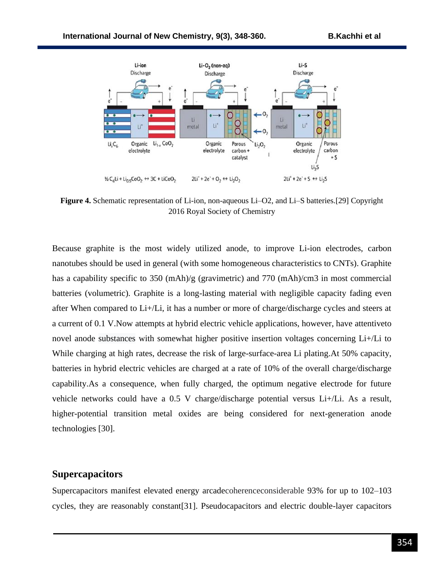

**Figure 4.** Schematic representation of Li-ion, non-aqueous Li–O2, and Li–S batteries.[29] Copyright 2016 Royal Society of Chemistry

Because graphite is the most widely utilized anode, to improve Li-ion electrodes, carbon nanotubes should be used in general (with some homogeneous characteristics to CNTs). Graphite has a capability specific to 350 (mAh)/g (gravimetric) and 770 (mAh)/cm3 in most commercial batteries (volumetric). Graphite is a long-lasting material with negligible capacity fading even after When compared to Li+/Li, it has a number or more of charge/discharge cycles and steers at a current of 0.1 V.Now attempts at hybrid electric vehicle applications, however, have attentiveto novel anode substances with somewhat higher positive insertion voltages concerning Li+/Li to While charging at high rates, decrease the risk of large-surface-area Li plating.At 50% capacity, batteries in hybrid electric vehicles are charged at a rate of 10% of the overall charge/discharge capability.As a consequence, when fully charged, the optimum negative electrode for future vehicle networks could have a 0.5 V charge/discharge potential versus Li+/Li. As a result, higher-potential transition metal oxides are being considered for next-generation anode technologies [30].

#### **Supercapacitors**

Supercapacitors manifest elevated energy arcadecoherenceconsiderable 93% for up to 102–103 cycles, they are reasonably constant[31]. Pseudocapacitors and electric double-layer capacitors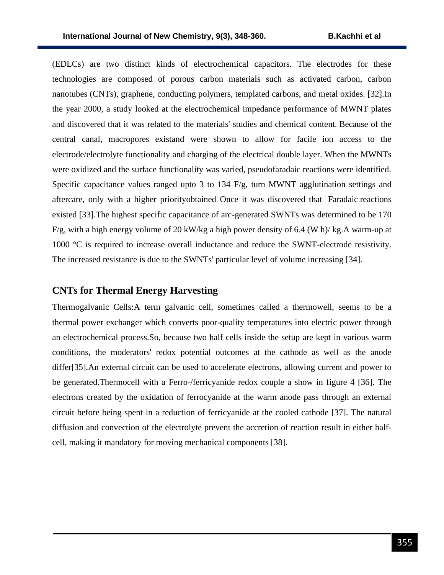(EDLCs) are two distinct kinds of electrochemical capacitors. The electrodes for these technologies are composed of porous carbon materials such as activated carbon, carbon nanotubes (CNTs), graphene, conducting polymers, templated carbons, and metal oxides. [32].In the year 2000, a study looked at the electrochemical impedance performance of MWNT plates and discovered that it was related to the materials' studies and chemical content. Because of the central canal, macropores existand were shown to allow for facile ion access to the electrode/electrolyte functionality and charging of the electrical double layer. When the MWNTs were oxidized and the surface functionality was varied, pseudofaradaic reactions were identified. Specific capacitance values ranged upto 3 to 134  $F/g$ , turn MWNT agglutination settings and aftercare, only with a higher priorityobtained Once it was discovered that Faradaic reactions existed [33].The highest specific capacitance of arc-generated SWNTs was determined to be 170  $F/g$ , with a high energy volume of 20 kW/kg a high power density of 6.4 (W h)/kg. A warm-up at 1000 °C is required to increase overall inductance and reduce the SWNT-electrode resistivity. The increased resistance is due to the SWNTs' particular level of volume increasing [34].

#### **CNTs for Thermal Energy Harvesting**

Thermogalvanic Cells:A term galvanic cell, sometimes called a thermowell, seems to be a thermal power exchanger which converts poor-quality temperatures into electric power through an electrochemical process.So, because two half cells inside the setup are kept in various warm conditions, the moderators' redox potential outcomes at the cathode as well as the anode differ[35].An external circuit can be used to accelerate electrons, allowing current and power to be generated.Thermocell with a Ferro-/ferricyanide redox couple a show in figure 4 [36]. The electrons created by the oxidation of ferrocyanide at the warm anode pass through an external circuit before being spent in a reduction of ferricyanide at the cooled cathode [37]. The natural diffusion and convection of the electrolyte prevent the accretion of reaction result in either halfcell, making it mandatory for moving mechanical components [38].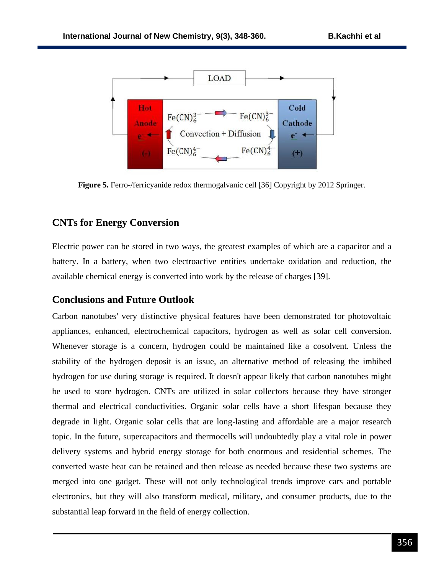

**Figure 5.** Ferro-/ferricyanide redox thermogalvanic cell [36] Copyright by 2012 Springer.

# **CNTs for Energy Conversion**

Electric power can be stored in two ways, the greatest examples of which are a capacitor and a battery. In a battery, when two electroactive entities undertake oxidation and reduction, the available chemical energy is converted into work by the release of charges [39].

# **Conclusions and Future Outlook**

Carbon nanotubes' very distinctive physical features have been demonstrated for photovoltaic appliances, enhanced, electrochemical capacitors, hydrogen as well as solar cell conversion. Whenever storage is a concern, hydrogen could be maintained like a cosolvent. Unless the stability of the hydrogen deposit is an issue, an alternative method of releasing the imbibed hydrogen for use during storage is required. It doesn't appear likely that carbon nanotubes might be used to store hydrogen. CNTs are utilized in solar collectors because they have stronger thermal and electrical conductivities. Organic solar cells have a short lifespan because they degrade in light. Organic solar cells that are long-lasting and affordable are a major research topic. In the future, supercapacitors and thermocells will undoubtedly play a vital role in power delivery systems and hybrid energy storage for both enormous and residential schemes. The converted waste heat can be retained and then release as needed because these two systems are merged into one gadget. These will not only technological trends improve cars and portable electronics, but they will also transform medical, military, and consumer products, due to the substantial leap forward in the field of energy collection.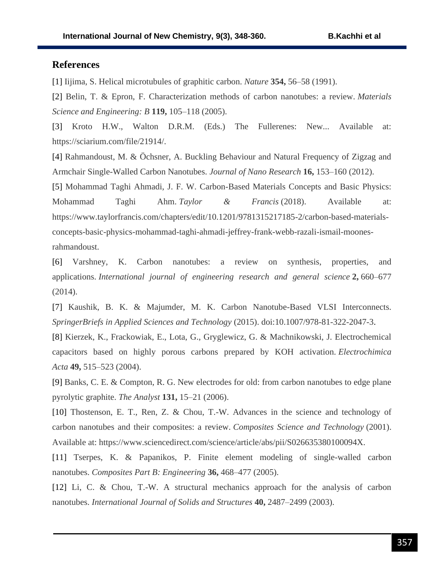### **References**

[1] Iijima, S. Helical microtubules of graphitic carbon. *Nature* **354,** 56–58 (1991).

[2] Belin, T. & Epron, F. Characterization methods of carbon nanotubes: a review. *Materials Science and Engineering: B* **119,** 105–118 (2005).

[3] Kroto H.W., Walton D.R.M. (Eds.) The Fullerenes: New... Available at: https://sciarium.com/file/21914/.

[4] Rahmandoust, M. & Öchsner, A. Buckling Behaviour and Natural Frequency of Zigzag and Armchair Single-Walled Carbon Nanotubes. *Journal of Nano Research* **16,** 153–160 (2012).

[5] Mohammad Taghi Ahmadi, J. F. W. Carbon-Based Materials Concepts and Basic Physics: Mohammad Taghi Ahm. *Taylor & Francis* (2018). Available at: https://www.taylorfrancis.com/chapters/edit/10.1201/9781315217185-2/carbon-based-materialsconcepts-basic-physics-mohammad-taghi-ahmadi-jeffrey-frank-webb-razali-ismail-moonesrahmandoust.

[6] Varshney, K. Carbon nanotubes: a review on synthesis, properties, and applications. *International journal of engineering research and general science* **2,** 660–677 (2014).

[7] Kaushik, B. K. & Majumder, M. K. Carbon Nanotube-Based VLSI Interconnects. *SpringerBriefs in Applied Sciences and Technology* (2015). doi:10.1007/978-81-322-2047-3.

[8] Kierzek, K., Frackowiak, E., Lota, G., Gryglewicz, G. & Machnikowski, J. Electrochemical capacitors based on highly porous carbons prepared by KOH activation. *Electrochimica Acta* **49,** 515–523 (2004).

[9] Banks, C. E. & Compton, R. G. New electrodes for old: from carbon nanotubes to edge plane pyrolytic graphite. *The Analyst* **131,** 15–21 (2006).

[10] Thostenson, E. T., Ren, Z. & Chou, T.-W. Advances in the science and technology of carbon nanotubes and their composites: a review. *Composites Science and Technology* (2001). Available at: https://www.sciencedirect.com/science/article/abs/pii/S026635380100094X.

[11] Tserpes, K. & Papanikos, P. Finite element modeling of single-walled carbon nanotubes. *Composites Part B: Engineering* **36,** 468–477 (2005).

[12] Li, C. & Chou, T.-W. A structural mechanics approach for the analysis of carbon nanotubes. *International Journal of Solids and Structures* **40,** 2487–2499 (2003).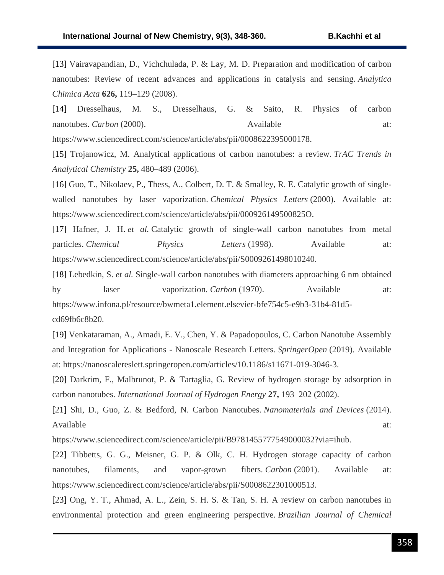[13] Vairavapandian, D., Vichchulada, P. & Lay, M. D. Preparation and modification of carbon nanotubes: Review of recent advances and applications in catalysis and sensing. *Analytica Chimica Acta* **626,** 119–129 (2008).

[14] Dresselhaus, M. S., Dresselhaus, G. & Saito, R. Physics of carbon nanotubes. *Carbon* (2000). Available at:

https://www.sciencedirect.com/science/article/abs/pii/0008622395000178.

[15] Trojanowicz, M. Analytical applications of carbon nanotubes: a review. *TrAC Trends in Analytical Chemistry* **25,** 480–489 (2006).

[16] Guo, T., Nikolaev, P., Thess, A., Colbert, D. T. & Smalley, R. E. Catalytic growth of singlewalled nanotubes by laser vaporization. *Chemical Physics Letters* (2000). Available at: https://www.sciencedirect.com/science/article/abs/pii/000926149500825O.

[17] Hafner, J. H. *et al.* Catalytic growth of single-wall carbon nanotubes from metal particles. *Chemical Physics Letters* (1998). Available at: https://www.sciencedirect.com/science/article/abs/pii/S0009261498010240.

[18] Lebedkin, S. *et al.* Single-wall carbon nanotubes with diameters approaching 6 nm obtained by laser vaporization. *Carbon* (1970). Available at: https://www.infona.pl/resource/bwmeta1.element.elsevier-bfe754c5-e9b3-31b4-81d5 cd69fb6c8b20.

[19] Venkataraman, A., Amadi, E. V., Chen, Y. & Papadopoulos, C. Carbon Nanotube Assembly and Integration for Applications - Nanoscale Research Letters. *SpringerOpen* (2019). Available at: https://nanoscalereslett.springeropen.com/articles/10.1186/s11671-019-3046-3.

[20] Darkrim, F., Malbrunot, P. & Tartaglia, G. Review of hydrogen storage by adsorption in carbon nanotubes. *International Journal of Hydrogen Energy* **27,** 193–202 (2002).

[21] Shi, D., Guo, Z. & Bedford, N. Carbon Nanotubes. *Nanomaterials and Devices* (2014). Available at:  $\alpha$ 

https://www.sciencedirect.com/science/article/pii/B9781455777549000032?via=ihub.

[22] Tibbetts, G. G., Meisner, G. P. & Olk, C. H. Hydrogen storage capacity of carbon nanotubes, filaments, and vapor-grown fibers. *Carbon* (2001). Available at: https://www.sciencedirect.com/science/article/abs/pii/S0008622301000513.

[23] Ong, Y. T., Ahmad, A. L., Zein, S. H. S. & Tan, S. H. A review on carbon nanotubes in environmental protection and green engineering perspective. *Brazilian Journal of Chemical*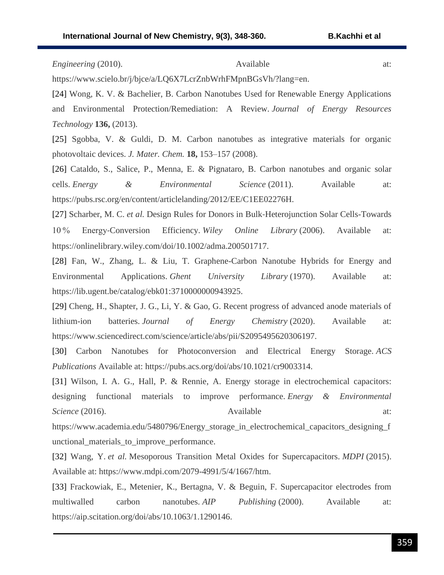*Engineering* (2010). **Available** at:

https://www.scielo.br/j/bjce/a/LQ6X7LcrZnbWrhFMpnBGsVh/?lang=en.

[24] Wong, K. V. & Bachelier, B. Carbon Nanotubes Used for Renewable Energy Applications and Environmental Protection/Remediation: A Review. *Journal of Energy Resources Technology* **136,** (2013).

[25] Sgobba, V. & Guldi, D. M. Carbon nanotubes as integrative materials for organic photovoltaic devices. *J. Mater. Chem.* **18,** 153–157 (2008).

[26] Cataldo, S., Salice, P., Menna, E. & Pignataro, B. Carbon nanotubes and organic solar cells. *Energy & Environmental Science* (2011). Available at: https://pubs.rsc.org/en/content/articlelanding/2012/EE/C1EE02276H.

[27] Scharber, M. C. *et al.* Design Rules for Donors in Bulk‐Heterojunction Solar Cells-Towards 10 % Energy‐Conversion Efficiency. *Wiley Online Library* (2006). Available at: https://onlinelibrary.wiley.com/doi/10.1002/adma.200501717.

[28] Fan, W., Zhang, L. & Liu, T. Graphene-Carbon Nanotube Hybrids for Energy and Environmental Applications. *Ghent University Library* (1970). Available at: https://lib.ugent.be/catalog/ebk01:3710000000943925.

[29] Cheng, H., Shapter, J. G., Li, Y. & Gao, G. Recent progress of advanced anode materials of lithium-ion batteries. *Journal of Energy Chemistry* (2020). Available at: https://www.sciencedirect.com/science/article/abs/pii/S2095495620306197.

[30] Carbon Nanotubes for Photoconversion and Electrical Energy Storage. *ACS Publications* Available at: https://pubs.acs.org/doi/abs/10.1021/cr9003314.

[31] Wilson, I. A. G., Hall, P. & Rennie, A. Energy storage in electrochemical capacitors: designing functional materials to improve performance. *Energy & Environmental Science* (2016). **Available** at:

https://www.academia.edu/5480796/Energy\_storage\_in\_electrochemical\_capacitors\_designing\_f unctional\_materials\_to\_improve\_performance.

[32] Wang, Y. *et al.* Mesoporous Transition Metal Oxides for Supercapacitors. *MDPI* (2015). Available at: https://www.mdpi.com/2079-4991/5/4/1667/htm.

[33] Frackowiak, E., Metenier, K., Bertagna, V. & Beguin, F. Supercapacitor electrodes from multiwalled carbon nanotubes. *AIP Publishing* (2000). Available at: https://aip.scitation.org/doi/abs/10.1063/1.1290146.